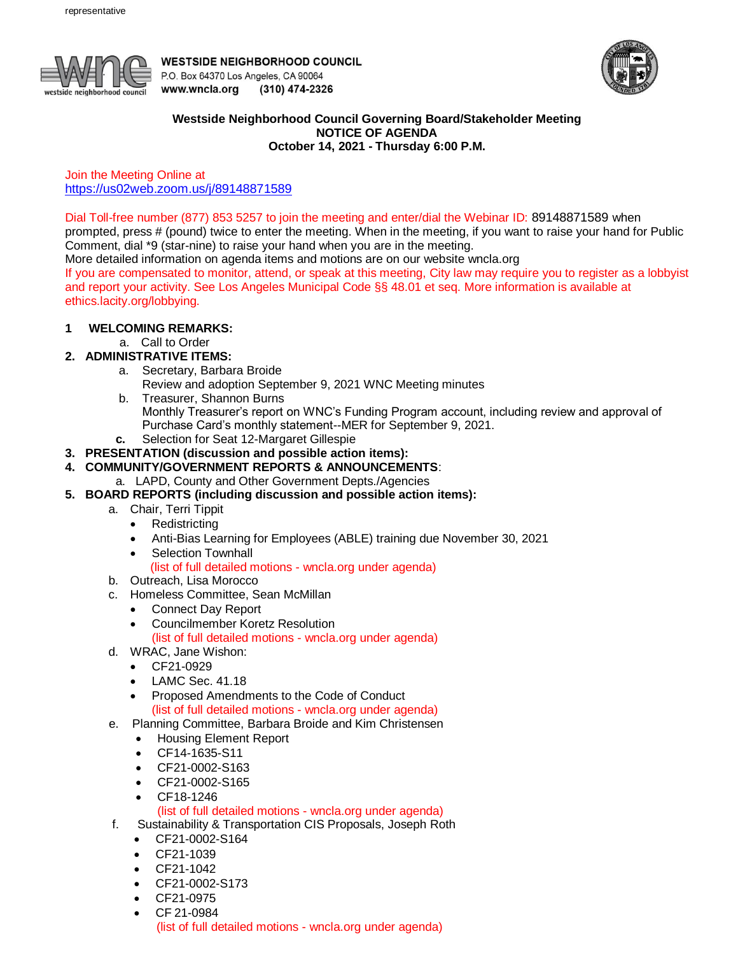

**WESTSIDE NEIGHBORHOOD COUNCIL** P.O. Box 64370 Los Angeles, CA 90064 www.wncla.org (310) 474-2326



### **Westside Neighborhood Council Governing Board/Stakeholder Meeting NOTICE OF AGENDA October 14, 2021 - Thursday 6:00 P.M.**

Join the Meeting Online at <https://us02web.zoom.us/j/89148871589>

Dial Toll-free number (877) 853 5257 to join the meeting and enter/dial the Webinar ID: 89148871589 when

prompted, press # (pound) twice to enter the meeting. When in the meeting, if you want to raise your hand for Public Comment, dial \*9 (star-nine) to raise your hand when you are in the meeting.

More detailed information on agenda items and motions are on our website wncla.org

If you are compensated to monitor, attend, or speak at this meeting, City law may require you to register as a lobbyist and report your activity. See Los Angeles Municipal Code §§ 48.01 et seq. More information is available at ethics.lacity.org/lobbying.

## **1 WELCOMING REMARKS:**

a. Call to Order

## **2. ADMINISTRATIVE ITEMS:**

- a. Secretary, Barbara Broide
	- Review and adoption September 9, 2021 WNC Meeting minutes
- b. Treasurer, Shannon Burns Monthly Treasurer's report on WNC's Funding Program account, including review and approval of Purchase Card's monthly statement--MER for September 9, 2021.  **c.** Selection for Seat 12-Margaret Gillespie
- **3. PRESENTATION (discussion and possible action items):**

# **4. COMMUNITY/GOVERNMENT REPORTS & ANNOUNCEMENTS**:

a. LAPD, County and Other Government Depts./Agencies

- **5. BOARD REPORTS (including discussion and possible action items):** 
	- a. Chair, Terri Tippit
		- Redistricting
		- Anti-Bias Learning for Employees (ABLE) training due November 30, 2021
		- Selection Townhall

### (list of full detailed motions - wncla.org under agenda)

- b. Outreach, Lisa Morocco
- c. Homeless Committee, Sean McMillan
	- Connect Day Report
	- Councilmember Koretz Resolution
		- (list of full detailed motions wncla.org under agenda)
- d. WRAC, Jane Wishon:
	- CF21-0929
	- LAMC Sec. 41.18
	- Proposed Amendments to the Code of Conduct (list of full detailed motions - wncla.org under agenda)
- e. Planning Committee, Barbara Broide and Kim Christensen
	- Housing Element Report
	- CF14-1635-S11
	- CF21-0002-S163
	- CF21-0002-S165
	- CF18-1246

### (list of full detailed motions - wncla.org under agenda)

- f. Sustainability & Transportation CIS Proposals, Joseph Roth
	- CF21-0002-S164
	- CF21-1039
	- CF21-1042
	- CF21-0002-S173
	- CF21-0975
	- CF 21-0984

(list of full detailed motions - wncla.org under agenda)